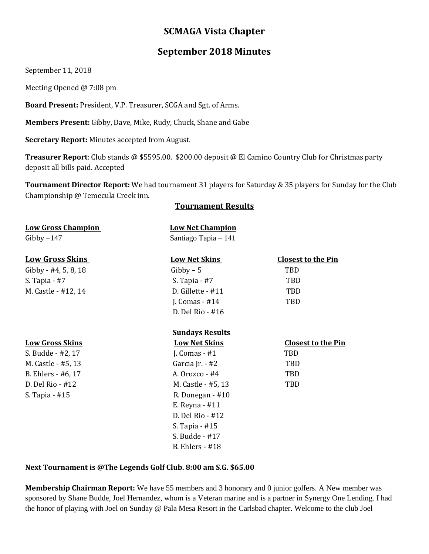# **SCMAGA Vista Chapter**

# **September 2018 Minutes**

September 11, 2018

Meeting Opened @ 7:08 pm

**Board Present:** President, V.P. Treasurer, SCGA and Sgt. of Arms.

**Members Present:** Gibby, Dave, Mike, Rudy, Chuck, Shane and Gabe

**Secretary Report:** Minutes accepted from August.

**Treasurer Report**: Club stands @ \$5595.00. \$200.00 deposit @ El Camino Country Club for Christmas party deposit all bills paid. Accepted

**Tournament Director Report:** We had tournament 31 players for Saturday & 35 players for Sunday for the Club Championship @ Temecula Creek inn.

#### **Tournament Results**

| <b>Low Gross Champion</b> | <b>Low Net Champion</b> |                           |
|---------------------------|-------------------------|---------------------------|
| $Gibby-147$               | Santiago Tapia - 141    |                           |
| <b>Low Gross Skins</b>    | <b>Low Net Skins</b>    | <b>Closest to the Pin</b> |
| Gibby - #4, 5, 8, 18      | $Gibby - 5$             | TBD                       |
| S. Tapia $-$ #7           | S. Tapia $-$ #7         | TBD                       |
| M. Castle - #12, 14       | D. Gillette - #11       | TBD                       |
|                           | J. Comas $-$ #14        | TBD                       |
|                           | D. Del Rio - #16        |                           |
|                           | <b>Sundays Results</b>  |                           |
| <b>Low Gross Skins</b>    | <b>Low Net Skins</b>    | <b>Closest to the Pin</b> |
| S. Budde - #2, 17         | J. Comas $-$ #1         | TBD                       |
| M. Castle - #5, 13        | Garcia Jr. - #2         | TBD                       |
| B. Ehlers - #6, 17        | A. Orozco - #4          | TBD                       |
| D. Del Rio - #12          | M. Castle - #5, 13      | TBD                       |
| S. Tapia - #15            | R. Donegan - #10        |                           |
|                           | E. Reyna $-$ #11        |                           |
|                           | D. Del Rio - #12        |                           |
|                           | S. Tapia - #15          |                           |
|                           | S. Budde - #17          |                           |
|                           | <b>B.</b> Ehlers - #18  |                           |

#### **Next Tournament is @The Legends Golf Club. 8:00 am S.G. \$65.00**

**Membership Chairman Report:** We have 55 members and 3 honorary and 0 junior golfers. A New member was sponsored by Shane Budde, Joel Hernandez, whom is a Veteran marine and is a partner in Synergy One Lending. I had the honor of playing with Joel on Sunday @ Pala Mesa Resort in the Carlsbad chapter. Welcome to the club Joel